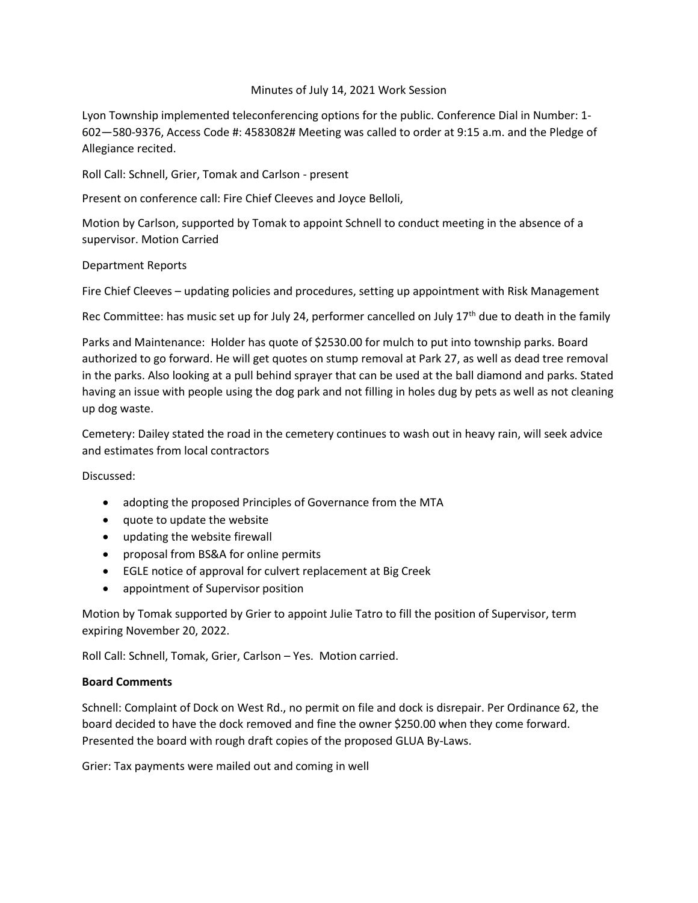## Minutes of July 14, 2021 Work Session

Lyon Township implemented teleconferencing options for the public. Conference Dial in Number: 1- 602—580-9376, Access Code #: 4583082# Meeting was called to order at 9:15 a.m. and the Pledge of Allegiance recited.

Roll Call: Schnell, Grier, Tomak and Carlson - present

Present on conference call: Fire Chief Cleeves and Joyce Belloli,

Motion by Carlson, supported by Tomak to appoint Schnell to conduct meeting in the absence of a supervisor. Motion Carried

## Department Reports

Fire Chief Cleeves – updating policies and procedures, setting up appointment with Risk Management

Rec Committee: has music set up for July 24, performer cancelled on July 17<sup>th</sup> due to death in the family

Parks and Maintenance: Holder has quote of \$2530.00 for mulch to put into township parks. Board authorized to go forward. He will get quotes on stump removal at Park 27, as well as dead tree removal in the parks. Also looking at a pull behind sprayer that can be used at the ball diamond and parks. Stated having an issue with people using the dog park and not filling in holes dug by pets as well as not cleaning up dog waste.

Cemetery: Dailey stated the road in the cemetery continues to wash out in heavy rain, will seek advice and estimates from local contractors

Discussed:

- adopting the proposed Principles of Governance from the MTA
- quote to update the website
- updating the website firewall
- proposal from BS&A for online permits
- EGLE notice of approval for culvert replacement at Big Creek
- appointment of Supervisor position

Motion by Tomak supported by Grier to appoint Julie Tatro to fill the position of Supervisor, term expiring November 20, 2022.

Roll Call: Schnell, Tomak, Grier, Carlson – Yes. Motion carried.

## **Board Comments**

Schnell: Complaint of Dock on West Rd., no permit on file and dock is disrepair. Per Ordinance 62, the board decided to have the dock removed and fine the owner \$250.00 when they come forward. Presented the board with rough draft copies of the proposed GLUA By-Laws.

Grier: Tax payments were mailed out and coming in well